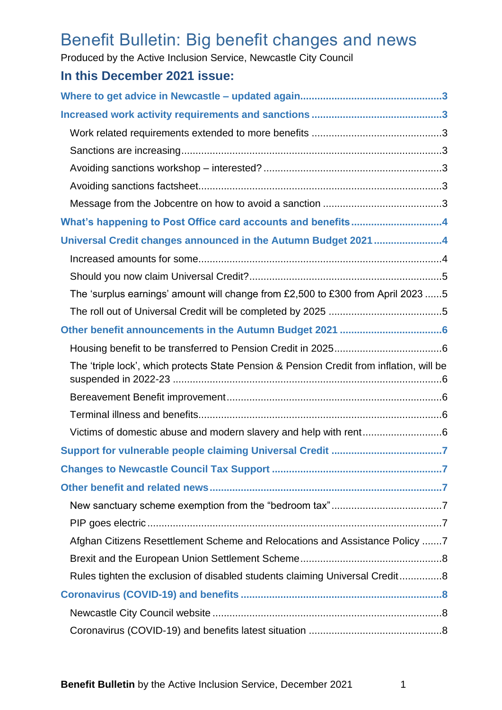# Benefit Bulletin: Big benefit changes and news

Produced by the Active Inclusion Service, Newcastle City Council

# **In this December 2021 issue:**

| What's happening to Post Office card accounts and benefits4                              |
|------------------------------------------------------------------------------------------|
| Universal Credit changes announced in the Autumn Budget 20214                            |
|                                                                                          |
|                                                                                          |
| The 'surplus earnings' amount will change from £2,500 to £300 from April 2023 5          |
|                                                                                          |
|                                                                                          |
|                                                                                          |
| The 'triple lock', which protects State Pension & Pension Credit from inflation, will be |
|                                                                                          |
|                                                                                          |
|                                                                                          |
|                                                                                          |
|                                                                                          |
|                                                                                          |
|                                                                                          |
|                                                                                          |
| Afghan Citizens Resettlement Scheme and Relocations and Assistance Policy 7              |
|                                                                                          |
| Rules tighten the exclusion of disabled students claiming Universal Credit8              |
|                                                                                          |
|                                                                                          |
|                                                                                          |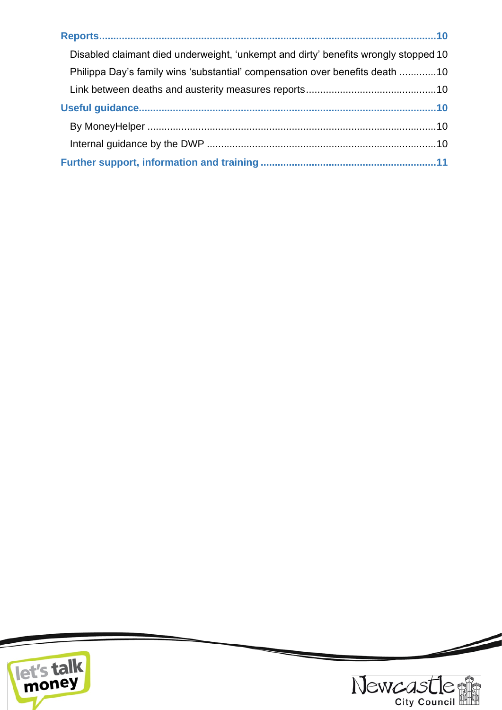| Disabled claimant died underweight, 'unkempt and dirty' benefits wrongly stopped 10 |
|-------------------------------------------------------------------------------------|
| Philippa Day's family wins 'substantial' compensation over benefits death 10        |
|                                                                                     |
|                                                                                     |
|                                                                                     |
|                                                                                     |
|                                                                                     |





 $\overline{\phantom{a}}$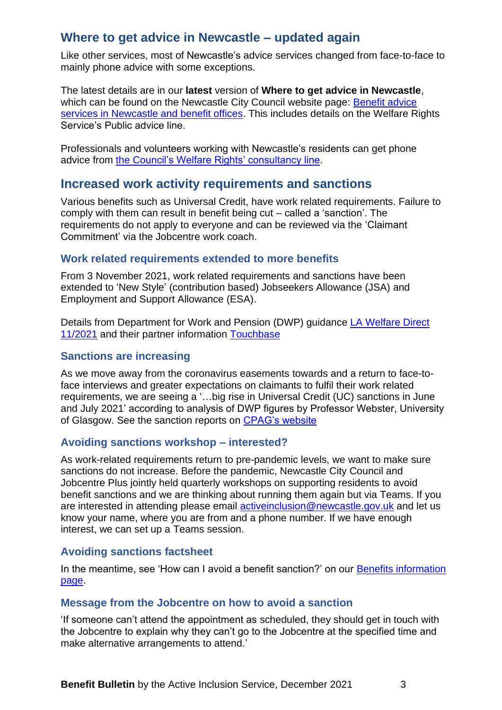# <span id="page-2-0"></span>**Where to get advice in Newcastle – updated again**

Like other services, most of Newcastle's advice services changed from face-to-face to mainly phone advice with some exceptions.

The latest details are in our **latest** version of **Where to get advice in Newcastle**, which can be found on the Newcastle City Council website page: Benefit advice [services in Newcastle and benefit offices.](https://www.newcastle.gov.uk/services/welfare-benefits/welfare-rights-and-money-advice/benefit-advice-services-newcastle-and) This includes details on the Welfare Rights Service's Public advice line.

Professionals and volunteers working with Newcastle's residents can get phone advice from [the Council's Welfare Rights' consultancy line.](https://www.newcastle.gov.uk/services/welfare-benefits/welfare-rights-and-money-advice/information-professionals-and-volunteers#consult)

# <span id="page-2-1"></span>**Increased work activity requirements and sanctions**

Various benefits such as Universal Credit, have work related requirements. Failure to comply with them can result in benefit being cut – called a 'sanction'. The requirements do not apply to everyone and can be reviewed via the 'Claimant Commitment' via the Jobcentre work coach.

### <span id="page-2-2"></span>**Work related requirements extended to more benefits**

From 3 November 2021, work related requirements and sanctions have been extended to 'New Style' (contribution based) Jobseekers Allowance (JSA) and Employment and Support Allowance (ESA).

Details from Department for Work and Pension (DWP) guidance *LA Welfare Direct* [11/2021](https://www.gov.uk/government/publications/la-welfare-direct-bulletins-2021/la-welfare-direct-112021#sanctions-for-new-style-jobseekers-allowance-and-employment-and-support-allowance-claims) and their partner information [Touchbase](https://www.gov.uk/government/publications/touchbase-dwp-news-about-work-working-age-benefits-and-services/touchbase-editions-after-march-2020)

### <span id="page-2-3"></span>**Sanctions are increasing**

As we move away from the coronavirus easements towards and a return to face-toface interviews and greater expectations on claimants to fulfil their work related requirements, we are seeing a '…big rise in Universal Credit (UC) sanctions in June and July 2021' according to analysis of DWP figures by Professor Webster, University of Glasgow. See the sanction reports on [CPAG's website](https://cpag.org.uk/policy-and-campaigns/briefing/david-webster-university-glasgow-briefings-benefit-sanctions)

### <span id="page-2-4"></span>**Avoiding sanctions workshop – interested?**

As work-related requirements return to pre-pandemic levels, we want to make sure sanctions do not increase. Before the pandemic, Newcastle City Council and Jobcentre Plus jointly held quarterly workshops on supporting residents to avoid benefit sanctions and we are thinking about running them again but via Teams. If you are interested in attending please email [activeinclusion@newcastle.gov.uk](mailto:activeinclusion@newcastle.gov.uk) and let us know your name, where you are from and a phone number. If we have enough interest, we can set up a Teams session.

### <span id="page-2-5"></span>**Avoiding sanctions factsheet**

In the meantime, see 'How can I avoid a benefit sanction?' on our Benefits information [page.](https://www.newcastle.gov.uk/services/benefits-information-0)

### <span id="page-2-6"></span>**Message from the Jobcentre on how to avoid a sanction**

'If someone can't attend the appointment as scheduled, they should get in touch with the Jobcentre to explain why they can't go to the Jobcentre at the specified time and make alternative arrangements to attend.'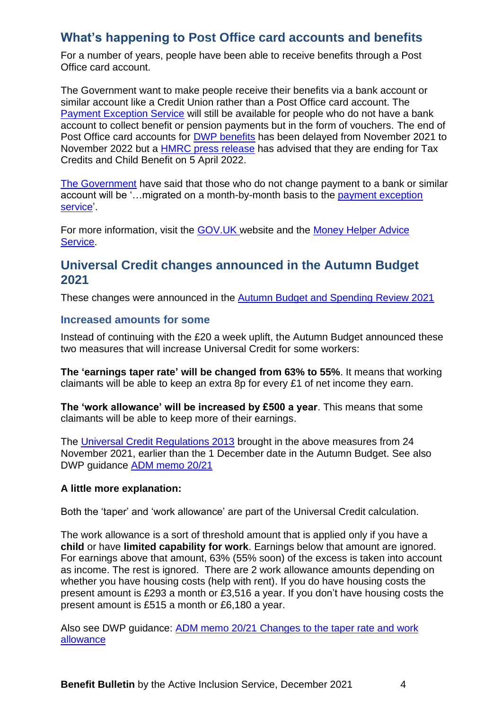# <span id="page-3-0"></span>**What's happening to Post Office card accounts and benefits**

For a number of years, people have been able to receive benefits through a Post Office card account.

The Government want to make people receive their benefits via a bank account or similar account like a Credit Union rather than a Post Office card account. The [Payment Exception Service](https://www.gov.uk/payment-exception-service) will still be available for people who do not have a bank account to collect benefit or pension payments but in the form of vouchers. The end of Post Office card accounts for [DWP benefits](https://www.gov.uk/government/news/post-office-card-accounts-closure-extended-until-november-2022?utm_source=https%3a%2f%2fnews.dwp.gov.uk%2fdwplz%2f&utm_medium=email&utm_campaign=Touchbase+-+17+September+2021&utm_term=Touchbase+-+17+September+2021&utm_content=11746) has been delayed from November 2021 to November 2022 but a [HMRC press release](https://www.gov.uk/government/news/hmrc-customers-with-post-office-card-accounts-given-extra-time-to-switch-accounts) has advised that they are ending for Tax Credits and Child Benefit on 5 April 2022.

[The Government](https://questions-statements.parliament.uk/written-questions/detail/2021-11-09/72482) have said that those who do not change payment to a bank or similar account will be '…migrated on a month-by-month basis to the [payment exception](https://www.gov.uk/payment-exception-service)  [service'](https://www.gov.uk/payment-exception-service).

For more information, visit the [GOV.UK](https://www.gov.uk/how-to-have-your-benefits-paid) website and the [Money Helper Advice](https://www.moneyhelper.org.uk/en/benefits/problems-with-benefits/what-to-do-now-your-post-office-card-account-is-closing?source=mas)  [Service.](https://www.moneyhelper.org.uk/en/benefits/problems-with-benefits/what-to-do-now-your-post-office-card-account-is-closing?source=mas)

# <span id="page-3-1"></span>**Universal Credit changes announced in the Autumn Budget 2021**

These changes were announced in the [Autumn Budget and Spending Review 2021](https://www.gov.uk/government/publications/autumn-budget-and-spending-review-2021-documents)

### <span id="page-3-2"></span>**Increased amounts for some**

Instead of continuing with the £20 a week uplift, the Autumn Budget announced these two measures that will increase Universal Credit for some workers:

**The 'earnings taper rate' will be changed from 63% to 55%**. It means that working claimants will be able to keep an extra 8p for every £1 of net income they earn.

**The 'work allowance' will be increased by £500 a year**. This means that some claimants will be able to keep more of their earnings.

The [Universal Credit Regulations 2013](https://www.legislation.gov.uk/uksi/2013/376) brought in the above measures from 24 November 2021, earlier than the 1 December date in the Autumn Budget. See also DWP guidance [ADM memo 20/21](https://assets.publishing.service.gov.uk/government/uploads/system/uploads/attachment_data/file/1036276/adm20-21.pdf)

#### **A little more explanation:**

Both the 'taper' and 'work allowance' are part of the Universal Credit calculation.

The work allowance is a sort of threshold amount that is applied only if you have a **child** or have **limited capability for work**. Earnings below that amount are ignored. For earnings above that amount, 63% (55% soon) of the excess is taken into account as income. The rest is ignored. There are 2 work allowance amounts depending on whether you have housing costs (help with rent). If you do have housing costs the present amount is £293 a month or £3,516 a year. If you don't have housing costs the present amount is £515 a month or £6,180 a year.

Also see DWP guidance: ADM memo 20/21 [Changes to the taper rate and work](https://assets.publishing.service.gov.uk/government/uploads/system/uploads/attachment_data/file/1036276/adm20-21.pdf)  [allowance](https://assets.publishing.service.gov.uk/government/uploads/system/uploads/attachment_data/file/1036276/adm20-21.pdf)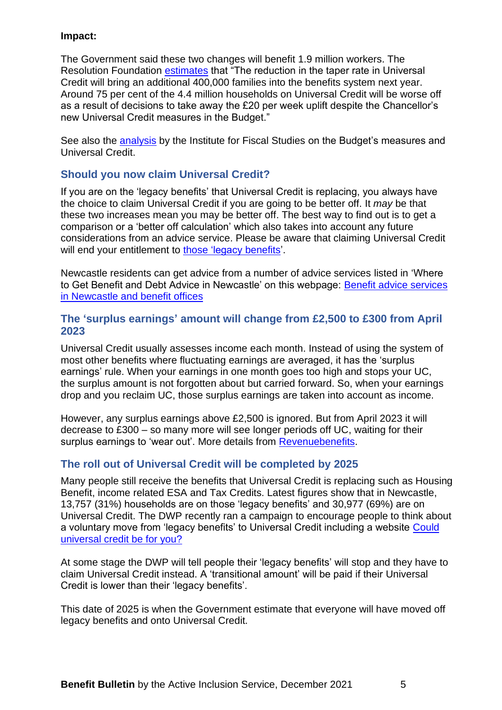#### **Impact:**

The Government said these two changes will benefit 1.9 million workers. The Resolution Foundation [estimates](https://www.resolutionfoundation.org/publications/the-boris-budget/) that "The reduction in the taper rate in Universal Credit will bring an additional 400,000 families into the benefits system next year. Around 75 per cent of the 4.4 million households on Universal Credit will be worse off as a result of decisions to take away the £20 per week uplift despite the Chancellor's new Universal Credit measures in the Budget."

See also the [analysis](https://ifs.org.uk/publications/15818) by the Institute for Fiscal Studies on the Budget's measures and Universal Credit.

### <span id="page-4-0"></span>**Should you now claim Universal Credit?**

If you are on the 'legacy benefits' that Universal Credit is replacing, you always have the choice to claim Universal Credit if you are going to be better off. It *may* be that these two increases mean you may be better off. The best way to find out is to get a comparison or a 'better off calculation' which also takes into account any future considerations from an advice service. Please be aware that claiming Universal Credit will end your entitlement to [those 'legacy benefits'](https://www.gov.uk/universal-credit/how-your-earnings-affect-your-payments?fbclid=IwAR1eTLQuWe21owWz3N_K0v0qYx-_g44AeVTw_HbZJDKuSGEkQv_wygus9fQ).

Newcastle residents can get advice from a number of advice services listed in 'Where to Get Benefit and Debt Advice in Newcastle' on this webpage: [Benefit advice services](https://www.newcastle.gov.uk/services/welfare-benefits/welfare-rights-and-money-advice/benefit-advice-services-newcastle-and)  [in Newcastle and](https://www.newcastle.gov.uk/services/welfare-benefits/welfare-rights-and-money-advice/benefit-advice-services-newcastle-and) benefit offices

### <span id="page-4-1"></span>**The 'surplus earnings' amount will change from £2,500 to £300 from April 2023**

Universal Credit usually assesses income each month. Instead of using the system of most other benefits where fluctuating earnings are averaged, it has the 'surplus earnings' rule. When your earnings in one month goes too high and stops your UC, the surplus amount is not forgotten about but carried forward. So, when your earnings drop and you reclaim UC, those surplus earnings are taken into account as income.

However, any surplus earnings above £2,500 is ignored. But from April 2023 it will decrease to £300 – so many more will see longer periods off UC, waiting for their surplus earnings to 'wear out'. More details from [Revenuebenefits.](https://revenuebenefits.org.uk/universal-credit/guidance/entitlement-to-uc/self-employment/surplus-earnings-and-losses/)

### <span id="page-4-2"></span>**The roll out of Universal Credit will be completed by 2025**

Many people still receive the benefits that Universal Credit is replacing such as Housing Benefit, income related ESA and Tax Credits. Latest figures show that in Newcastle, 13,757 (31%) households are on those 'legacy benefits' and 30,977 (69%) are on Universal Credit. The DWP recently ran a campaign to encourage people to think about a voluntary move from 'legacy benefits' to Universal Credit including a website [Could](https://www.understandinguniversalcredit.gov.uk/working-for-you/could-universal-credit-be-for-you/)  [universal credit be for you?](https://www.understandinguniversalcredit.gov.uk/working-for-you/could-universal-credit-be-for-you/)

At some stage the DWP will tell people their 'legacy benefits' will stop and they have to claim Universal Credit instead. A 'transitional amount' will be paid if their Universal Credit is lower than their 'legacy benefits'.

This date of 2025 is when the Government estimate that everyone will have moved off legacy benefits and onto Universal Credit.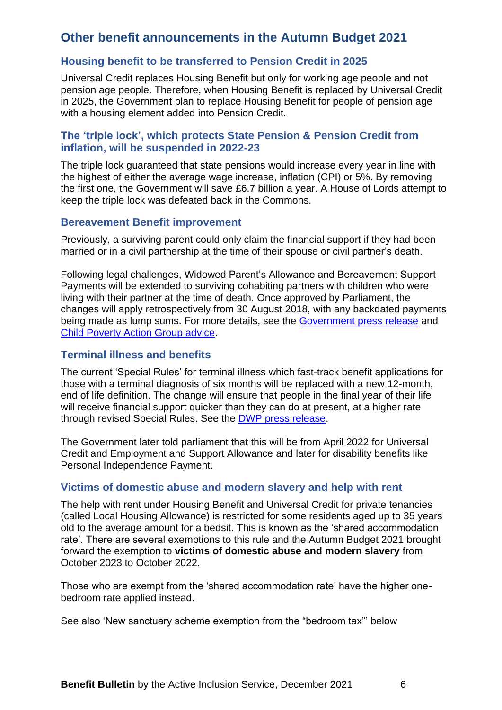# <span id="page-5-0"></span>**Other benefit announcements in the Autumn Budget 2021**

### <span id="page-5-1"></span>**Housing benefit to be transferred to Pension Credit in 2025**

Universal Credit replaces Housing Benefit but only for working age people and not pension age people. Therefore, when Housing Benefit is replaced by Universal Credit in 2025, the Government plan to replace Housing Benefit for people of pension age with a housing element added into Pension Credit.

### <span id="page-5-2"></span>**The 'triple lock', which protects State Pension & Pension Credit from inflation, will be suspended in 2022-23**

The triple lock guaranteed that state pensions would increase every year in line with the highest of either the average wage increase, inflation (CPI) or 5%. By removing the first one, the Government will save £6.7 billion a year. A House of Lords attempt to keep the triple lock was defeated back in the Commons.

#### <span id="page-5-3"></span>**Bereavement Benefit improvement**

Previously, a surviving parent could only claim the financial support if they had been married or in a civil partnership at the time of their spouse or civil partner's death.

Following legal challenges, Widowed Parent's Allowance and Bereavement Support Payments will be extended to surviving cohabiting partners with children who were living with their partner at the time of death. Once approved by Parliament, the changes will apply retrospectively from 30 August 2018, with any backdated payments being made as lump sums. For more details, see the [Government press release](https://www.gov.uk/government/news/cohabiting-couples-to-benefit-from-changes-to-bereavement-benefit-rules?utm_medium=email&utm_campaign=govuk-notifications&utm_source=1466bfa6-bb9c-44b8-8cfa-f63786b23e87&utm_content=daily) and [Child Poverty Action Group advice.](https://cpag.org.uk/sites/default/files/files/CPAG-Note-for-parents-on-Siobhan-McLaughlin-case_0.pdf)

### <span id="page-5-4"></span>**Terminal illness and benefits**

The current 'Special Rules' for terminal illness which fast-track benefit applications for those with a terminal diagnosis of six months will be replaced with a new 12-month, end of life definition. The change will ensure that people in the final year of their life will receive financial support quicker than they can do at present, at a higher rate through revised Special Rules. See the [DWP press release.](https://www.gov.uk/government/news/fast-tracked-access-to-benefits-for-people-with-terminal-illness-expanded?utm_source=https%3a%2f%2fnews.dwp.gov.uk%2fdwplz%2f&utm_medium=email&utm_campaign=Touchbase+-+9+July+2021&utm_term=Touchbase+-+9+July+2021&utm_content=38695)

The Government later told parliament that this will be from April 2022 for Universal Credit and Employment and Support Allowance and later for disability benefits like Personal Independence Payment.

#### <span id="page-5-5"></span>**Victims of domestic abuse and modern slavery and help with rent**

The help with rent under Housing Benefit and Universal Credit for private tenancies (called Local Housing Allowance) is restricted for some residents aged up to 35 years old to the average amount for a bedsit. This is known as the 'shared accommodation rate'. There are several exemptions to this rule and the Autumn Budget 2021 brought forward the exemption to **victims of domestic abuse and modern slavery** from October 2023 to October 2022.

Those who are exempt from the 'shared accommodation rate' have the higher onebedroom rate applied instead.

See also 'New sanctuary scheme exemption from the "bedroom tax"' below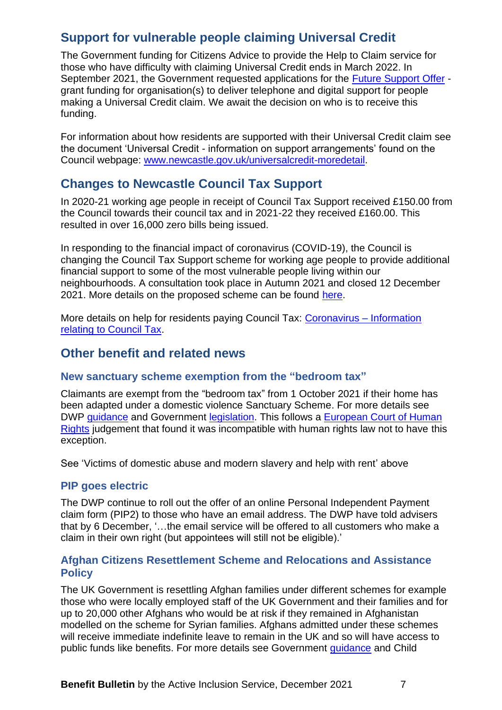# <span id="page-6-0"></span>**Support for vulnerable people claiming Universal Credit**

The Government funding for Citizens Advice to provide the Help to Claim service for those who have difficulty with claiming Universal Credit ends in March 2022. In September 2021, the Government requested applications for the [Future Support Offer](https://www.gov.uk/government/publications/apply-for-future-support-offer-grant-funding-to-support-people-to-claim-universal-credit) grant funding for organisation(s) to deliver telephone and digital support for people making a Universal Credit claim. We await the decision on who is to receive this funding.

For information about how residents are supported with their Universal Credit claim see the document 'Universal Credit - information on support arrangements' found on the Council webpage: [www.newcastle.gov.uk/universalcredit-moredetail.](http://www.newcastle.gov.uk/universalcredit-moredetail)

# <span id="page-6-1"></span>**Changes to Newcastle Council Tax Support**

In 2020-21 working age people in receipt of Council Tax Support received £150.00 from the Council towards their council tax and in 2021-22 they received £160.00. This resulted in over 16,000 zero bills being issued.

In responding to the financial impact of coronavirus (COVID-19), the Council is changing the Council Tax Support scheme for working age people to provide additional financial support to some of the most vulnerable people living within our neighbourhoods. A consultation took place in Autumn 2021 and closed 12 December 2021. More details on the proposed scheme can be found [here.](https://www.newcastle.gov.uk/services/council-tax/apply-council-tax-support/council-tax-support-scheme#Consultation)

More details on help for residents paying Council Tax: [Coronavirus –](https://www.newcastle.gov.uk/services/council-tax/council-tax-exemptions/coronavirus-information-relating-council-tax) Information [relating to Council Tax.](https://www.newcastle.gov.uk/services/council-tax/council-tax-exemptions/coronavirus-information-relating-council-tax)

### <span id="page-6-2"></span>**Other benefit and related news**

### <span id="page-6-3"></span>**New sanctuary scheme exemption from the "bedroom tax"**

Claimants are exempt from the "bedroom tax" from 1 October 2021 if their home has been adapted under a domestic violence Sanctuary Scheme. For more details see DWP [guidance](https://www.gov.uk/government/publications/housing-benefit-adjudication-circulars-2021/a82021-the-domestic-abuse-support-relevant-accommodation-and-housing-benefit-and-universal-credit-sanctuary-schemes-amendment-regulations-2021) and Government [legislation.](https://www.legislation.gov.uk/uksi/2021/991/made) This follows a [European Court of Human](https://hudoc.echr.coe.int/eng#{%22itemid%22:[%22001-196897%22]})  [Rights](https://hudoc.echr.coe.int/eng#{%22itemid%22:[%22001-196897%22]}) judgement that found it was incompatible with human rights law not to have this exception.

See 'Victims of domestic abuse and modern slavery and help with rent' above

### <span id="page-6-4"></span>**PIP goes electric**

The DWP continue to roll out the offer of an online Personal Independent Payment claim form (PIP2) to those who have an email address. The DWP have told advisers that by 6 December, '…the email service will be offered to all customers who make a claim in their own right (but appointees will still not be eligible).'

### <span id="page-6-5"></span>**Afghan Citizens Resettlement Scheme and Relocations and Assistance Policy**

The UK Government is resettling Afghan families under different schemes for example those who were locally employed staff of the UK Government and their families and for up to 20,000 other Afghans who would be at risk if they remained in Afghanistan modelled on the scheme for Syrian families. Afghans admitted under these schemes will receive immediate indefinite leave to remain in the UK and so will have access to public funds like benefits. For more details see Government [guidance](https://www.gov.uk/guidance/afghan-citizens-resettlement-scheme) and Child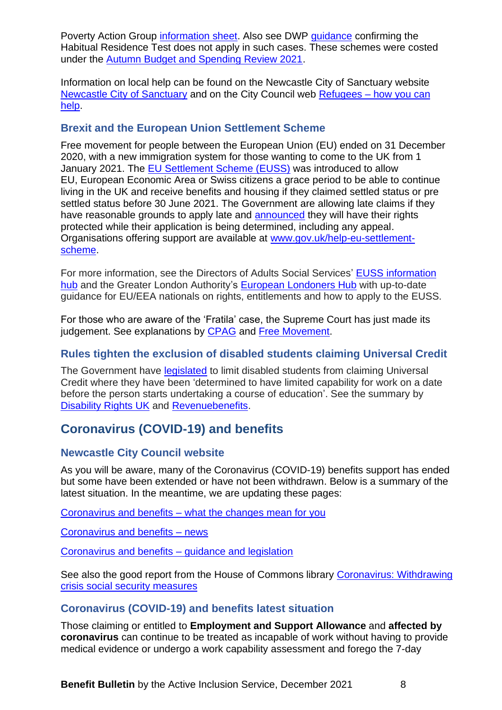Poverty Action Group [information sheet.](file:///C:/Users/13113/AppData/Local/Temp/MicrosoftEdgeDownloads/1c7f871c-c46d-40bb-9e72-7a24517ed2b6/CPAG-Afghan-briefing-Sep-2021.pdf) Also see DWP quidance confirming the Habitual Residence Test does not apply in such cases. These schemes were costed under the [Autumn Budget and Spending Review 2021.](https://www.gov.uk/government/publications/autumn-budget-and-spending-review-2021-documents)

Information on local help can be found on the Newcastle City of Sanctuary website [Newcastle City of Sanctuary](https://newcastle.cityofsanctuary.org/resources-documents-and-things-that-may-be-of-use) and on the City Council web **Refugees** – how you can [help.](https://www.newcastle.gov.uk/services/communities-and-neighbourhoods/asylum-and-immigration/refugees-how-you-can-help)

### <span id="page-7-0"></span>**Brexit and the European Union Settlement Scheme**

Free movement for people between the European Union (EU) ended on 31 December 2020, with a new immigration system for those wanting to come to the UK from 1 January 2021. The [EU Settlement Scheme](https://www.gov.uk/settled-status-eu-citizens-families) (EUSS) was introduced to allow EU, European Economic Area or Swiss citizens a grace period to be able to continue living in the UK and receive benefits and housing if they claimed settled status or pre settled status before 30 June 2021. The Government are allowing late claims if they have reasonable grounds to apply late and [announced](https://www.gov.uk/government/news/temporary-protection-for-more-applicants-to-the-settlement-scheme) they will have their rights protected while their application is being determined, including any appeal. Organisations offering support are available at [www.gov.uk/help-eu-settlement](https://response.smartcdn.co.uk/homeofficeR4/mailresponse.asp?tid=26246&em=11249137&turl=https://www.gov.uk/help-eu-settlement-scheme)[scheme.](https://response.smartcdn.co.uk/homeofficeR4/mailresponse.asp?tid=26246&em=11249137&turl=https://www.gov.uk/help-eu-settlement-scheme)

For more information, see the Directors of Adults Social Services' [EUSS information](https://www.adass.org.uk/euss)  [hub](https://www.adass.org.uk/euss) and the Greater London Authority's [European Londoners Hub](https://www.london.gov.uk/what-we-do/european-londoners-hub) with up-to-date guidance for EU/EEA nationals on rights, entitlements and how to apply to the EUSS.

For those who are aware of the 'Fratila' case, the Supreme Court has just made its judgement. See explanations by [CPAG](https://cpag.org.uk/welfare-rights/legal-test-cases/current-test-cases/eu-pre-settled-status) and [Free Movement.](https://www.freemovement.org.uk/supreme-court-overturns-expansion-of-benefits-rights-for-eu-citizens/?utm_source=rss&utm_medium=rss&utm_campaign=supreme-court-overturns-expansion-of-benefits-rights-for-eu-citizens&mc_cid=522341d103&mc_eid=e20897c751)

### <span id="page-7-1"></span>**Rules tighten the exclusion of disabled students claiming Universal Credit**

The Government have [legislated](https://www.legislation.gov.uk/uksi/2021/1224/made) to limit disabled students from claiming Universal Credit where they have been 'determined to have limited capability for work on a date before the person starts undertaking a course of education'. See the summary by [Disability Rights UK](https://www.disabilityrightsuk.org/news/2021/november/new-rules-tighten-exclusion-disabled-students-universal-credit) and [Revenuebenefits.](https://revenuebenefits.org.uk/universal-credit/)

# <span id="page-7-2"></span>**Coronavirus (COVID-19) and benefits**

### <span id="page-7-3"></span>**Newcastle City Council website**

As you will be aware, many of the Coronavirus (COVID-19) benefits support has ended but some have been extended or have not been withdrawn. Below is a summary of the latest situation. In the meantime, we are updating these pages:

Coronavirus and benefits – [what the changes mean for you](https://www.newcastle.gov.uk/services/welfare-benefits/welfare-rights-and-money-advice/coronavirus-and-benefits-what-changes)

[Coronavirus and benefits –](https://www.newcastle.gov.uk/services/coronavirus-and-benefits-news) news

[Coronavirus and benefits –](https://www.newcastle.gov.uk/services/coronavirus-and-benefits-guidance-and-legislation) guidance and legislation

See also the good report from the House of Commons library [Coronavirus: Withdrawing](https://commonslibrary.parliament.uk/research-briefings/cbp-8973/)  [crisis social security measures](https://commonslibrary.parliament.uk/research-briefings/cbp-8973/)

### <span id="page-7-4"></span>**Coronavirus (COVID-19) and benefits latest situation**

Those claiming or entitled to **Employment and Support Allowance** and **affected by coronavirus** can continue to be treated as incapable of work without having to provide medical evidence or undergo a work capability assessment and forego the 7-day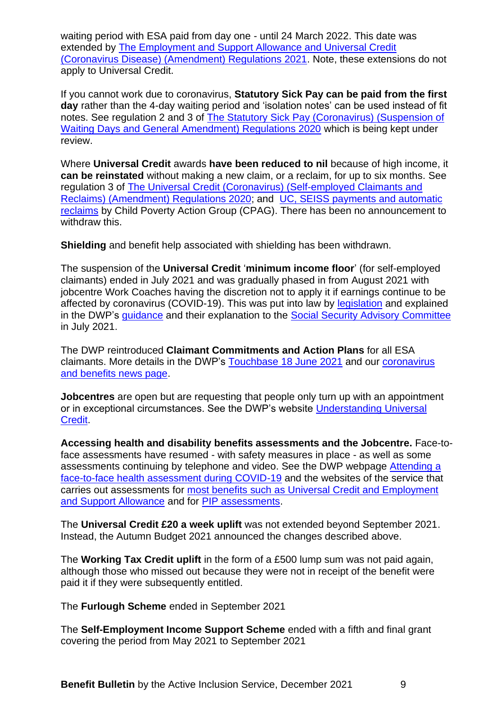waiting period with ESA paid from day one - until 24 March 2022. This date was extended by [The Employment and Support Allowance and Universal Credit](https://www.legislation.gov.uk/uksi/2021/1158/made)  [\(Coronavirus Disease\) \(Amendment\) Regulations 2021.](https://www.legislation.gov.uk/uksi/2021/1158/made) Note, these extensions do not apply to Universal Credit.

If you cannot work due to coronavirus, **Statutory Sick Pay can be paid from the first day** rather than the 4-day waiting period and 'isolation notes' can be used instead of fit notes. See regulation 2 and 3 of [The Statutory Sick Pay \(Coronavirus\) \(Suspension of](https://www.legislation.gov.uk/uksi/2020/374)  [Waiting Days and General Amendment\) Regulations 2020](https://www.legislation.gov.uk/uksi/2020/374) which is being kept under review.

Where **Universal Credit** awards **have been reduced to nil** because of high income, it **can be reinstated** without making a new claim, or a reclaim, for up to six months. See regulation 3 of [The Universal Credit \(Coronavirus\) \(Self-employed Claimants and](https://www.legislation.gov.uk/uksi/2020/522/made)  [Reclaims\) \(Amendment\) Regulations 2020;](https://www.legislation.gov.uk/uksi/2020/522/made) and [UC, SEISS payments and automatic](https://askcpag.org.uk/content/204607/uc--seiss-payments-and-automatic-reclaims)  [reclaims](https://askcpag.org.uk/content/204607/uc--seiss-payments-and-automatic-reclaims) by Child Poverty Action Group (CPAG). There has been no announcement to withdraw this.

**Shielding** and benefit help associated with shielding has been withdrawn.

The suspension of the **Universal Credit** '**minimum income floor**' (for self-employed claimants) ended in July 2021 and was gradually phased in from August 2021 with jobcentre Work Coaches having the discretion not to apply it if earnings continue to be affected by coronavirus (COVID-19). This was put into law by [legislation](https://www.legislation.gov.uk/uksi/2021/313/regulation/3/made) and explained in the DWP's [guidance](https://assets.publishing.service.gov.uk/government/uploads/system/uploads/attachment_data/file/1023401/adm15-21.pdf) and their explanation to the [Social Security Advisory Committee](https://www.gov.uk/government/organisations/social-security-advisory-committee/about/membership#minutes-of-meetings) in July 2021.

The DWP reintroduced **Claimant Commitments and Action Plans** for all ESA claimants. More details in the DWP's [Touchbase 18 June 2021](https://news.dwp.gov.uk/dwplz/lz.aspx?p1=MWrDU1MzY5M1M3OTI0OjAwNEM3NEI5OEM3NjRBRDA0ODhDNEUwMTMxOEQxMkEw-&CC=&p=0) and our [coronavirus](https://www.newcastle.gov.uk/services/coronavirus-and-benefits-news)  [and benefits news page.](https://www.newcastle.gov.uk/services/coronavirus-and-benefits-news)

**Jobcentres** are open but are requesting that people only turn up with an appointment or in exceptional circumstances. See the DWP's website [Understanding Universal](https://www.understandinguniversalcredit.gov.uk/)  **Credit** 

**Accessing health and disability benefits assessments and the Jobcentre.** Face-toface assessments have resumed - with safety measures in place - as well as some assessments continuing by telephone and video. See the DWP webpage [Attending a](https://www.gov.uk/government/publications/attending-a-face-to-face-health-assessment-during-covid-19?utm_medium=email&utm_campaign=govuk-notifications&utm_source=d02b0562-796b-4978-9b14-d5d6f3641819&utm_content=daily)  [face-to-face health assessment during COVID-19](https://www.gov.uk/government/publications/attending-a-face-to-face-health-assessment-during-covid-19?utm_medium=email&utm_campaign=govuk-notifications&utm_source=d02b0562-796b-4978-9b14-d5d6f3641819&utm_content=daily) and the websites of the service that carries out assessments for most benefits [such as Universal Credit and Employment](https://www.chdauk.co.uk/your-assessment)  [and Support Allowance](https://www.chdauk.co.uk/your-assessment) and for [PIP assessments.](https://www.mypipassessment.co.uk/)

The **Universal Credit £20 a week uplift** was not extended beyond September 2021. Instead, the Autumn Budget 2021 announced the changes described above.

The **Working Tax Credit uplift** in the form of a £500 lump sum was not paid again, although those who missed out because they were not in receipt of the benefit were paid it if they were subsequently entitled.

The **Furlough Scheme** ended in September 2021

The **Self-Employment Income Support Scheme** ended with a fifth and final grant covering the period from May 2021 to September 2021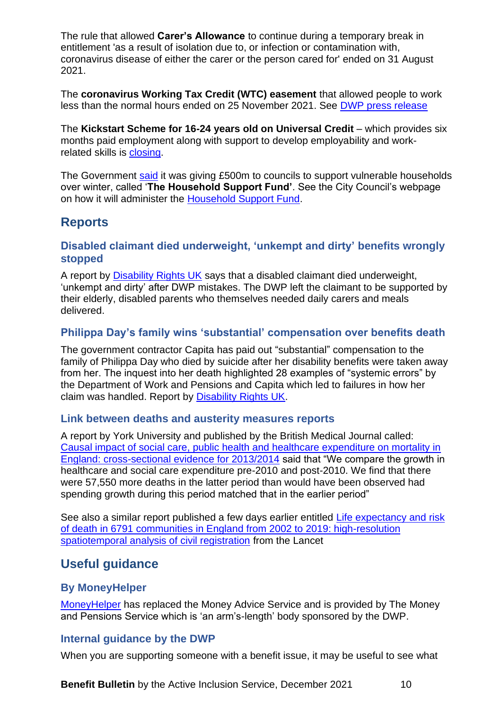The rule that allowed **Carer's Allowance** to continue during a temporary break in entitlement 'as a result of isolation due to, or infection or contamination with, coronavirus disease of either the carer or the person cared for' ended on 31 August 2021.

The **coronavirus Working Tax Credit (WTC) easement** that allowed people to work less than the normal hours ended on 25 November 2021. See [DWP press release](https://www.gov.uk/government/news/working-tax-credit-customers-must-report-changes-to-working-hours)

The Kickstart Scheme for 16-24 years old on Universal Credit – which provides six months paid employment along with support to develop employability and workrelated skills is [closing.](https://www.gov.uk/guidance/kickstart-scheme-closure?utm_medium=email&utm_campaign=govuk-notifications&utm_source=db8d4188-dcb8-434a-94d8-deb8aefbb04b&utm_content=daily)

The Government [said](https://www.gov.uk/government/news/government-launches-500m-support-for-vulnerable-households-over-winter) it was giving £500m to councils to support vulnerable households over winter, called '**The Household Support Fund'**. See the City Council's webpage on how it will administer the [Household Support Fund.](https://www.newcastle.gov.uk/services/public-health-wellbeing-and-leisure/public-health-services/coronavirus-covid-19/support-7)

# <span id="page-9-0"></span>**Reports**

### <span id="page-9-1"></span>**Disabled claimant died underweight, 'unkempt and dirty' benefits wrongly stopped**

A report by [Disability Rights UK](https://www.disabilityrightsuk.org/sites/all/modules/civicrm/extern/url.php?u=61719&qid=10173775) says that a disabled claimant died underweight, 'unkempt and dirty' after DWP mistakes. The DWP left the claimant to be supported by their elderly, disabled parents who themselves needed daily carers and meals delivered.

### <span id="page-9-2"></span>**Philippa Day's family wins 'substantial' compensation over benefits death**

The government contractor Capita has paid out "substantial" compensation to the family of Philippa Day who died by suicide after her disability benefits were taken away from her. The inquest into her death highlighted 28 examples of "systemic errors" by the Department of Work and Pensions and Capita which led to failures in how her claim was handled. Report by [Disability Rights UK.](https://www.disabilityrightsuk.org/sites/all/modules/civicrm/extern/url.php?u=61721&qid=10173775)

#### <span id="page-9-3"></span>**Link between deaths and austerity measures reports**

A report by York University and published by the British Medical Journal called: [Causal impact of social care, public health and healthcare expenditure on mortality in](https://bmjopen.bmj.com/content/bmjopen/11/10/e046417.full.pdf)  [England: cross-sectional evidence for 2013/2014](https://bmjopen.bmj.com/content/bmjopen/11/10/e046417.full.pdf) said that "We compare the growth in healthcare and social care expenditure pre-2010 and post-2010. We find that there were 57,550 more deaths in the latter period than would have been observed had spending growth during this period matched that in the earlier period"

See also a similar report published a few days earlier entitled [Life expectancy and risk](https://www.thelancet.com/journals/lanpub/article/PIIS2468-2667(21)00205-X/fulltext)  [of death in 6791 communities in England from 2002 to 2019: high-resolution](https://www.thelancet.com/journals/lanpub/article/PIIS2468-2667(21)00205-X/fulltext)  [spatiotemporal analysis of civil registration](https://www.thelancet.com/journals/lanpub/article/PIIS2468-2667(21)00205-X/fulltext) from the Lancet

# <span id="page-9-4"></span>**Useful guidance**

### <span id="page-9-5"></span>**By MoneyHelper**

[MoneyHelper](https://www.moneyhelper.org.uk/en) has replaced the Money Advice Service and is provided by The Money and Pensions Service which is 'an arm's-length' body sponsored by the DWP.

### <span id="page-9-6"></span>**Internal guidance by the DWP**

When you are supporting someone with a benefit issue, it may be useful to see what

**Benefit Bulletin** by the Active Inclusion Service, December 2021 10